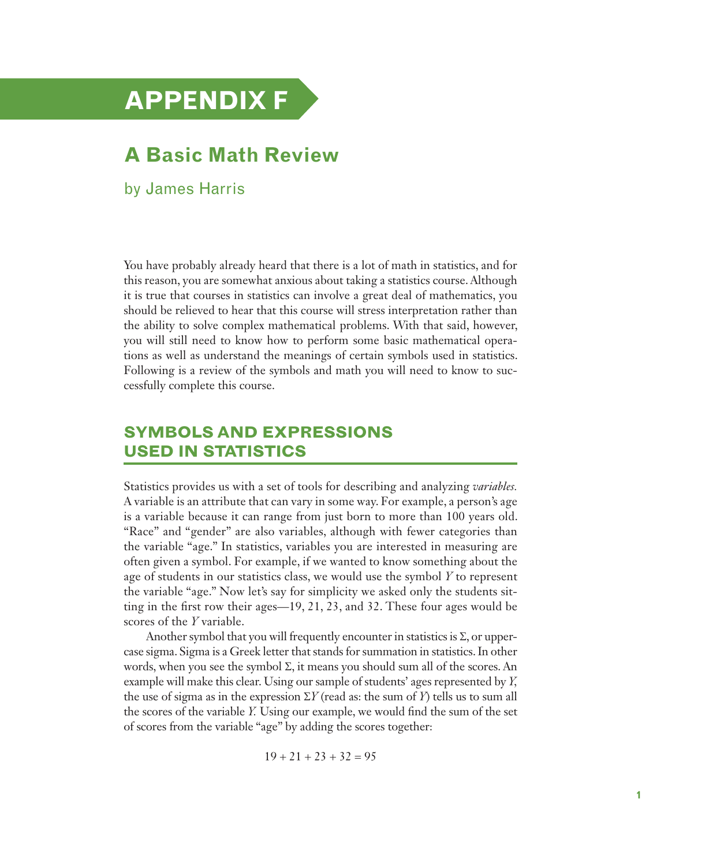# **APPENDIX F**

# **A Basic Math Review**

by James Harris

You have probably already heard that there is a lot of math in statistics, and for this reason, you are somewhat anxious about taking a statistics course. Although it is true that courses in statistics can involve a great deal of mathematics, you should be relieved to hear that this course will stress interpretation rather than the ability to solve complex mathematical problems. With that said, however, you will still need to know how to perform some basic mathematical operations as well as understand the meanings of certain symbols used in statistics. Following is a review of the symbols and math you will need to know to successfully complete this course.

## **SYMBOLS AND EXPRESSIONS USED IN STATISTICS**

Statistics provides us with a set of tools for describing and analyzing *variables.* A variable is an attribute that can vary in some way. For example, a person's age is a variable because it can range from just born to more than 100 years old. "Race" and "gender" are also variables, although with fewer categories than the variable "age." In statistics, variables you are interested in measuring are often given a symbol. For example, if we wanted to know something about the age of students in our statistics class, we would use the symbol *Y* to represent the variable "age." Now let's say for simplicity we asked only the students sitting in the first row their ages—19, 21, 23, and 32. These four ages would be scores of the *Y* variable.

Another symbol that you will frequently encounter in statistics is  $\Sigma$ , or uppercase sigma. Sigma is a Greek letter that stands for summation in statistics. In other words, when you see the symbol  $\Sigma$ , it means you should sum all of the scores. An example will make this clear. Using our sample of students' ages represented by *Y,* the use of sigma as in the expression Σ*Y* (read as: the sum of *Y*) tells us to sum all the scores of the variable *Y.* Using our example, we would find the sum of the set of scores from the variable "age" by adding the scores together:

$$
19 + 21 + 23 + 32 = 95
$$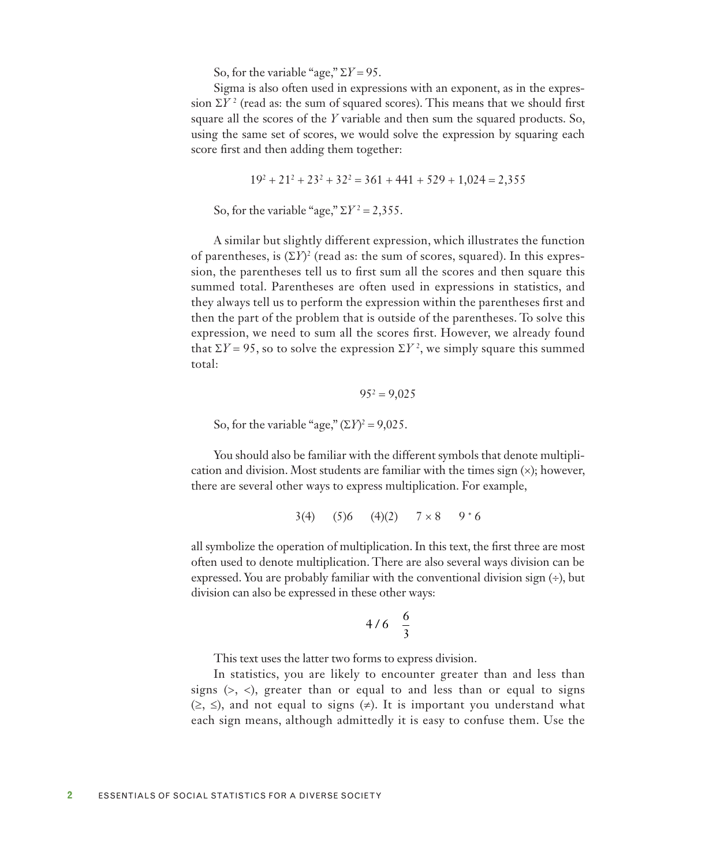So, for the variable "age," Σ*Y* = 95.

Sigma is also often used in expressions with an exponent, as in the expression  $\Sigma Y^2$  (read as: the sum of squared scores). This means that we should first square all the scores of the *Y* variable and then sum the squared products. So, using the same set of scores, we would solve the expression by squaring each score first and then adding them together:

$$
192 + 212 + 232 + 322 = 361 + 441 + 529 + 1,024 = 2,355
$$

So, for the variable "age,"  $\Sigma Y^2 = 2,355$ .

A similar but slightly different expression, which illustrates the function of parentheses, is  $(ΣY)^2$  (read as: the sum of scores, squared). In this expression, the parentheses tell us to first sum all the scores and then square this summed total. Parentheses are often used in expressions in statistics, and they always tell us to perform the expression within the parentheses first and then the part of the problem that is outside of the parentheses. To solve this expression, we need to sum all the scores first. However, we already found that  $\Sigma Y = 95$ , so to solve the expression  $\Sigma Y^2$ , we simply square this summed total:

$$
95^2 = 9,025
$$

So, for the variable "age,"  $(\Sigma Y)^2 = 9,025$ .

You should also be familiar with the different symbols that denote multiplication and division. Most students are familiar with the times sign  $(x)$ ; however, there are several other ways to express multiplication. For example,

$$
3(4) (5)6 (4)(2) 7 \times 8 9*6
$$

all symbolize the operation of multiplication. In this text, the first three are most often used to denote multiplication. There are also several ways division can be expressed. You are probably familiar with the conventional division sign  $(\div)$ , but division can also be expressed in these other ways:

$$
4/6 \quad \frac{6}{3}
$$

This text uses the latter two forms to express division.

In statistics, you are likely to encounter greater than and less than signs  $(>, <)$ , greater than or equal to and less than or equal to signs  $(\geq, \leq)$ , and not equal to signs (≠). It is important you understand what each sign means, although admittedly it is easy to confuse them. Use the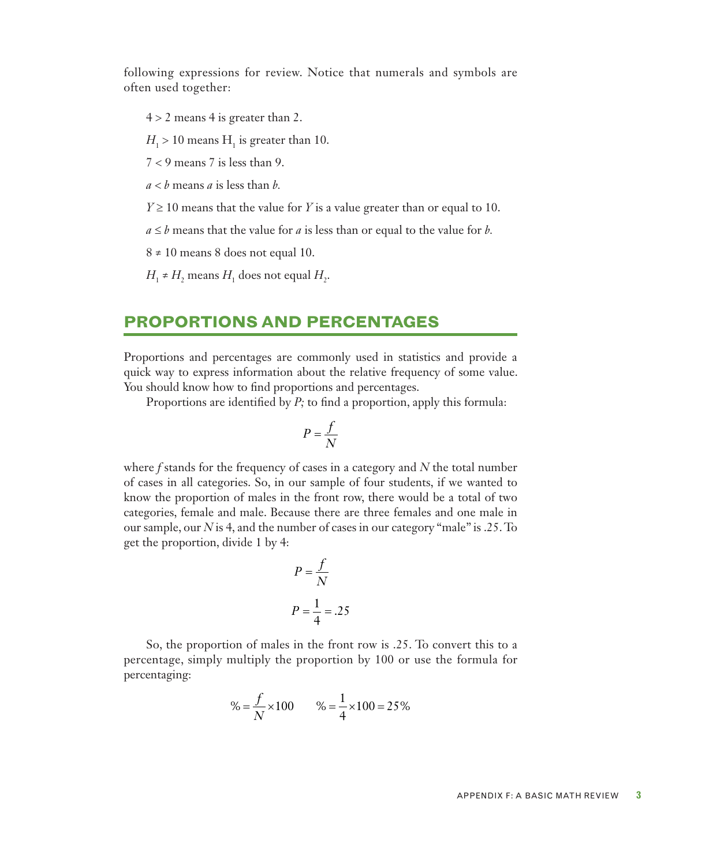following expressions for review. Notice that numerals and symbols are often used together:

 $4 > 2$  means 4 is greater than 2.

 $H_{1}$  > 10 means  $H_{1}$  is greater than 10.

7 < 9 means 7 is less than 9.

*a* < *b* means *a* is less than *b.*

*Y*  $\geq$  10 means that the value for *Y* is a value greater than or equal to 10.

 $a \leq b$  means that the value for *a* is less than or equal to the value for *b*.

 $8 \neq 10$  means 8 does not equal 10.

 $H_1$  ≠  $H_2$  means  $H_1$  does not equal  $H_2$ .

#### **PROPORTIONS AND PERCENTAGES**

Proportions and percentages are commonly used in statistics and provide a quick way to express information about the relative frequency of some value. You should know how to find proportions and percentages.

Proportions are identified by *P;* to find a proportion, apply this formula:

$$
P = \frac{f}{N}
$$

where *f* stands for the frequency of cases in a category and *N* the total number of cases in all categories. So, in our sample of four students, if we wanted to know the proportion of males in the front row, there would be a total of two categories, female and male. Because there are three females and one male in our sample, our *N* is 4, and the number of cases in our category "male" is .25. To get the proportion, divide 1 by 4:

$$
P = \frac{f}{N}
$$

$$
P = \frac{1}{4} = .25
$$

So, the proportion of males in the front row is .25. To convert this to a percentage, simply multiply the proportion by 100 or use the formula for percentaging:

% = 
$$
\frac{f}{N}
$$
 × 100   
% =  $\frac{1}{4}$  × 100 = 25%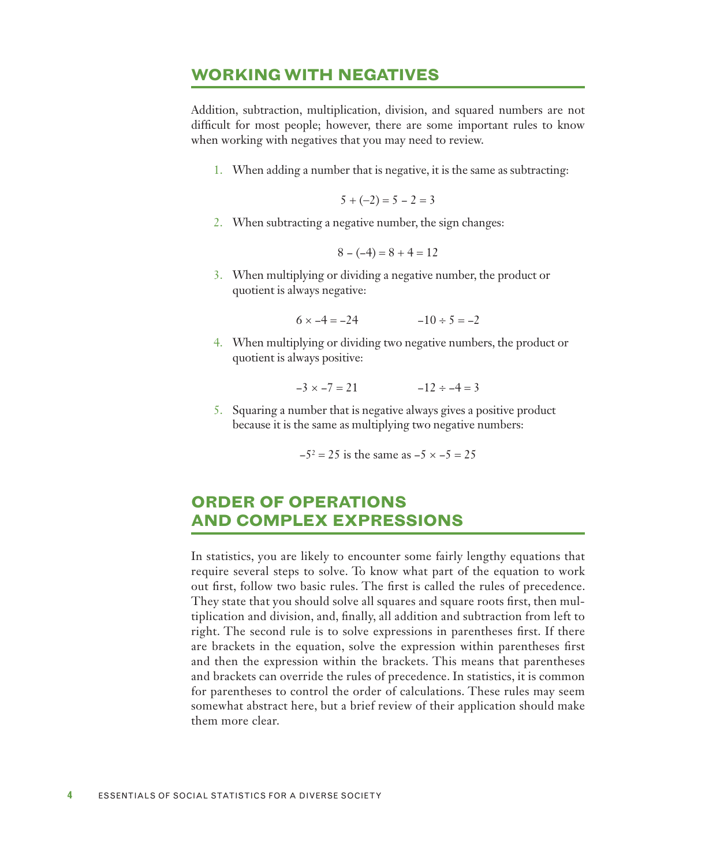#### **WORKING WITH NEGATIVES**

Addition, subtraction, multiplication, division, and squared numbers are not difficult for most people; however, there are some important rules to know when working with negatives that you may need to review.

1. When adding a number that is negative, it is the same as subtracting:

$$
5 + (-2) = 5 - 2 = 3
$$

2. When subtracting a negative number, the sign changes:

$$
8 - (-4) = 8 + 4 = 12
$$

3. When multiplying or dividing a negative number, the product or quotient is always negative:

$$
6 \times -4 = -24 \qquad \qquad -10 \div 5 = -2
$$

4. When multiplying or dividing two negative numbers, the product or quotient is always positive:

$$
-3 \times -7 = 21
$$
  $-12 \div -4 = 3$ 

5. Squaring a number that is negative always gives a positive product because it is the same as multiplying two negative numbers:

 $-5^2 = 25$  is the same as  $-5 \times -5 = 25$ 

### **ORDER OF OPERATIONS AND COMPLEX EXPRESSIONS**

In statistics, you are likely to encounter some fairly lengthy equations that require several steps to solve. To know what part of the equation to work out first, follow two basic rules. The first is called the rules of precedence. They state that you should solve all squares and square roots first, then multiplication and division, and, finally, all addition and subtraction from left to right. The second rule is to solve expressions in parentheses first. If there are brackets in the equation, solve the expression within parentheses first and then the expression within the brackets. This means that parentheses and brackets can override the rules of precedence. In statistics, it is common for parentheses to control the order of calculations. These rules may seem somewhat abstract here, but a brief review of their application should make them more clear.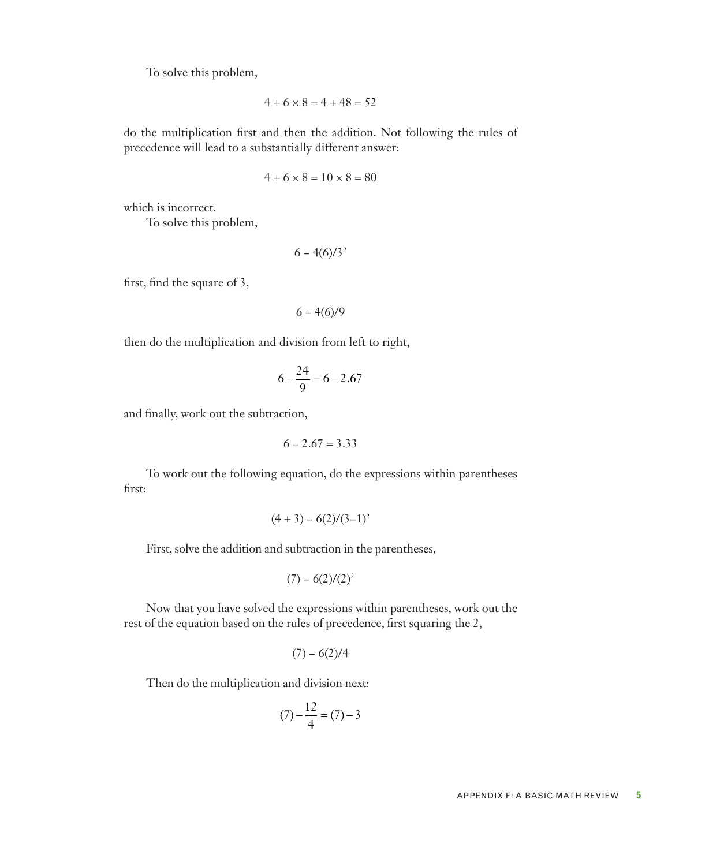To solve this problem,

$$
4 + 6 \times 8 = 4 + 48 = 52
$$

do the multiplication first and then the addition. Not following the rules of precedence will lead to a substantially different answer:

$$
4 + 6 \times 8 = 10 \times 8 = 80
$$

which is incorrect.

To solve this problem,

$$
6 - 4(6)/3^2
$$

first, find the square of 3,

$$
6-4(6)/9
$$

then do the multiplication and division from left to right,

$$
6 - \frac{24}{9} = 6 - 2.67
$$

and finally, work out the subtraction,

$$
6 - 2.67 = 3.33
$$

To work out the following equation, do the expressions within parentheses first:

$$
(4+3) - 6(2)/(3-1)^2
$$

First, solve the addition and subtraction in the parentheses,

$$
(7) - 6(2)/(2)^2
$$

Now that you have solved the expressions within parentheses, work out the rest of the equation based on the rules of precedence, first squaring the 2,

$$
(7) - 6(2)/4
$$

Then do the multiplication and division next:

$$
(7) - \frac{12}{4} = (7) - 3
$$